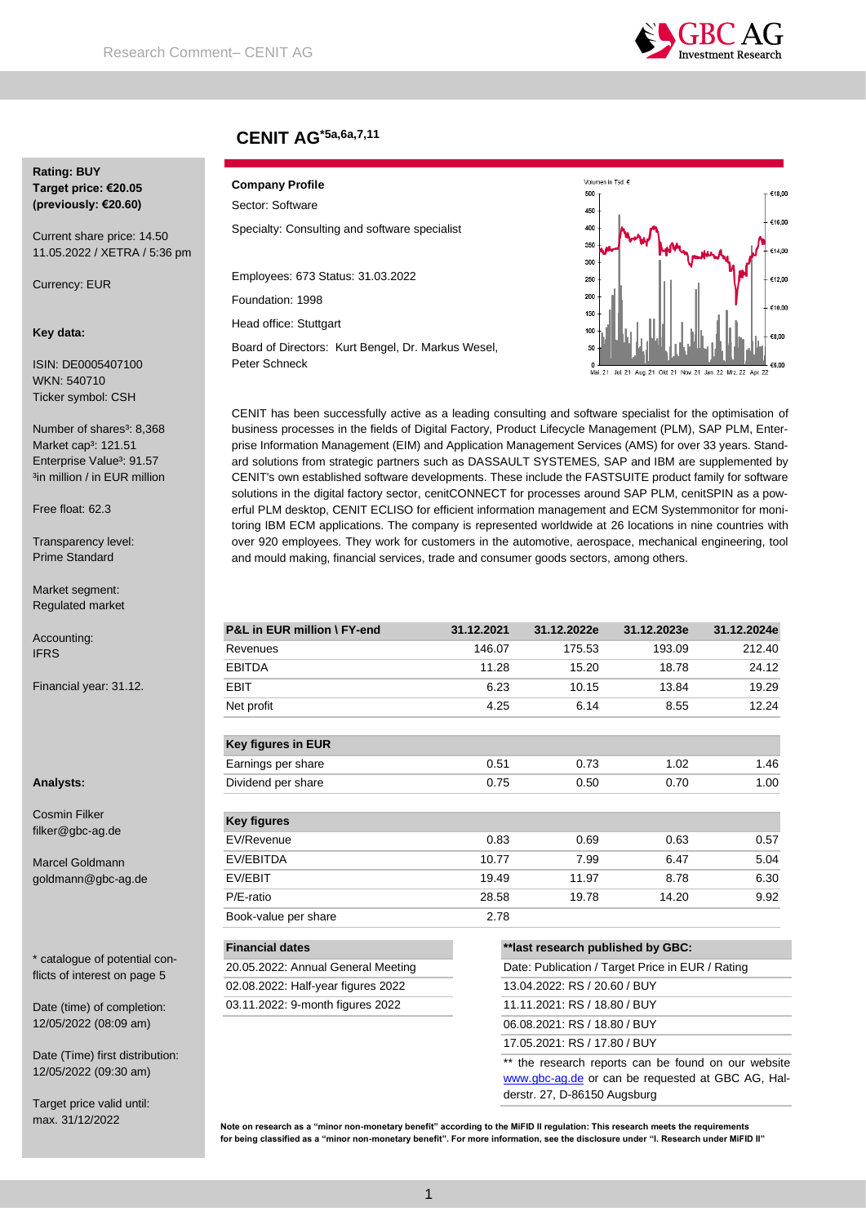

# **CENIT AG\*5a,6a,7,11**

## **Rating: BUY Target price: €20.05 (previously: €20.60)**

Current share price: 14.50 11.05.2022 / XETRA / 5:36 pm

Currency: EUR

#### **Key data:**

ISIN: DE0005407100 WKN: 540710 Ticker symbol: CSH

Number of shares<sup>3</sup>: 8,368 Market cap<sup>3</sup>: 121.51 Enterprise Value<sup>3</sup>: 91.57 <sup>3</sup>in million / in EUR million

Free float: 62.3

Transparency level: Prime Standard

Market segment: Regulated market

Accounting: IFRS

Financial year: 31.12.

**Analysts:**

Cosmin Filker filker@gbc-ag.de

Marcel Goldmann goldmann@gbc-ag.de

\* catalogue of potential conflicts of interest on page 5

Date (time) of completion: 12/05/2022 (08:09 am)

Date (Time) first distribution: 12/05/2022 (09:30 am)

Target price valid until: max. 31/12/2022

## **Company Profile** Sector: Software

Specialty: Consulting and software specialist

Employees: 673 Status: 31.03.2022

Foundation: 1998

Head office: Stuttgart

Board of Directors: Kurt Bengel, Dr. Markus Wesel, Peter Schneck



CENIT has been successfully active as a leading consulting and software specialist for the optimisation of business processes in the fields of Digital Factory, Product Lifecycle Management (PLM), SAP PLM, Enterprise Information Management (EIM) and Application Management Services (AMS) for over 33 years. Standard solutions from strategic partners such as DASSAULT SYSTEMES, SAP and IBM are supplemented by CENIT's own established software developments. These include the FASTSUITE product family for software solutions in the digital factory sector, cenitCONNECT for processes around SAP PLM, cenitSPIN as a powerful PLM desktop, CENIT ECLISO for efficient information management and ECM Systemmonitor for monitoring IBM ECM applications. The company is represented worldwide at 26 locations in nine countries with over 920 employees. They work for customers in the automotive, aerospace, mechanical engineering, tool and mould making, financial services, trade and consumer goods sectors, among others.

| P&L in EUR million \ FY-end        | 31.12.2021 | 31.12.2022e                                      | 31.12.2023e | 31.12.2024e |  |
|------------------------------------|------------|--------------------------------------------------|-------------|-------------|--|
| Revenues                           | 146.07     | 175.53                                           | 193.09      | 212.40      |  |
| <b>EBITDA</b>                      | 11.28      | 15.20                                            | 18.78       | 24.12       |  |
| EBIT                               | 6.23       | 10.15                                            | 13.84       | 19.29       |  |
| Net profit                         | 4.25       | 6.14                                             | 8.55        | 12.24       |  |
| <b>Key figures in EUR</b>          |            |                                                  |             |             |  |
| Earnings per share                 | 0.51       | 0.73                                             | 1.02        | 1.46        |  |
| Dividend per share                 | 0.75       | 0.50                                             | 0.70        | 1.00        |  |
| <b>Key figures</b>                 |            |                                                  |             |             |  |
| EV/Revenue                         | 0.83       | 0.69                                             | 0.63        | 0.57        |  |
| EV/EBITDA                          | 10.77      | 7.99                                             | 6.47        | 5.04        |  |
| EV/EBIT                            | 19.49      | 11.97                                            | 8.78        | 6.30        |  |
| P/E-ratio                          | 28.58      | 19.78                                            | 14.20       | 9.92        |  |
| Book-value per share               | 2.78       |                                                  |             |             |  |
| <b>Financial dates</b>             |            | ** last research published by GBC:               |             |             |  |
| 20.05.2022: Annual General Meeting |            | Date: Publication / Target Price in EUR / Rating |             |             |  |
| 02.08.2022: Half-year figures 2022 |            | 13.04.2022: RS / 20.60 / BUY                     |             |             |  |
| 03.11.2022: 9-month figures 2022   |            | 11.11.2021: RS / 18.80 / BUY                     |             |             |  |
|                                    |            | 06.08.2021: RS / 18.80 / BUY                     |             |             |  |

17.05.2021: RS / 17.80 / BUY

\*\* the research reports can be found on our website [www.gbc-ag.de](http://www.gbc-ag.de/) or can be requested at GBC AG, Halderstr. 27, D-86150 Augsburg

**Note on research as a "minor non-monetary benefit" according to the MiFID II regulation: This research meets the requirements for being classified as a "minor non-monetary benefit". For more information, see the disclosure under "I. Research under MiFID II"**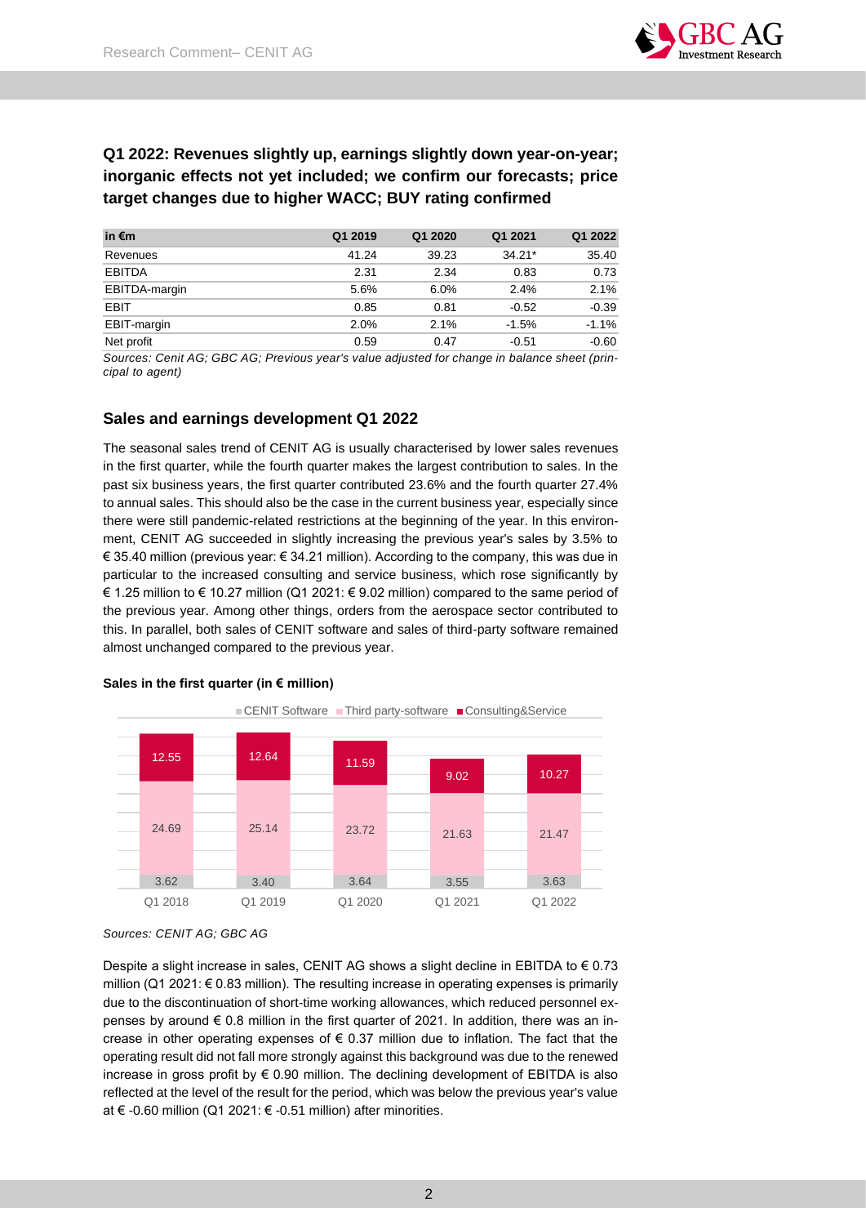

# **Q1 2022: Revenues slightly up, earnings slightly down year-on-year; inorganic effects not yet included; we confirm our forecasts; price target changes due to higher WACC; BUY rating confirmed**

| in $\epsilon$ m | Q1 2019 | Q1 2020 | Q1 2021  | Q1 2022 |
|-----------------|---------|---------|----------|---------|
| Revenues        | 41.24   | 39.23   | $34.21*$ | 35.40   |
| <b>EBITDA</b>   | 2.31    | 2.34    | 0.83     | 0.73    |
| EBITDA-margin   | 5.6%    | 6.0%    | 2.4%     | 2.1%    |
| EBIT            | 0.85    | 0.81    | $-0.52$  | $-0.39$ |
| EBIT-margin     | 2.0%    | 2.1%    | $-1.5%$  | $-1.1%$ |
| Net profit      | 0.59    | 0.47    | $-0.51$  | $-0.60$ |

*Sources: Cenit AG; GBC AG; Previous year's value adjusted for change in balance sheet (principal to agent)*

# **Sales and earnings development Q1 2022**

The seasonal sales trend of CENIT AG is usually characterised by lower sales revenues in the first quarter, while the fourth quarter makes the largest contribution to sales. In the past six business years, the first quarter contributed 23.6% and the fourth quarter 27.4% to annual sales. This should also be the case in the current business year, especially since there were still pandemic-related restrictions at the beginning of the year. In this environment, CENIT AG succeeded in slightly increasing the previous year's sales by 3.5% to € 35.40 million (previous year: € 34.21 million). According to the company, this was due in particular to the increased consulting and service business, which rose significantly by € 1.25 million to € 10.27 million (Q1 2021: € 9.02 million) compared to the same period of the previous year. Among other things, orders from the aerospace sector contributed to this. In parallel, both sales of CENIT software and sales of third-party software remained almost unchanged compared to the previous year.



# **Sales in the first quarter (in € million)**

Despite a slight increase in sales, CENIT AG shows a slight decline in EBITDA to  $\epsilon$  0.73 million (Q1 2021:  $\epsilon$  0.83 million). The resulting increase in operating expenses is primarily due to the discontinuation of short-time working allowances, which reduced personnel expenses by around  $\epsilon$  0.8 million in the first quarter of 2021. In addition, there was an increase in other operating expenses of  $\epsilon$  0.37 million due to inflation. The fact that the operating result did not fall more strongly against this background was due to the renewed increase in gross profit by  $\epsilon$  0.90 million. The declining development of EBITDA is also reflected at the level of the result for the period, which was below the previous year's value at € -0.60 million (Q1 2021: € -0.51 million) after minorities.

*Sources: CENIT AG; GBC AG*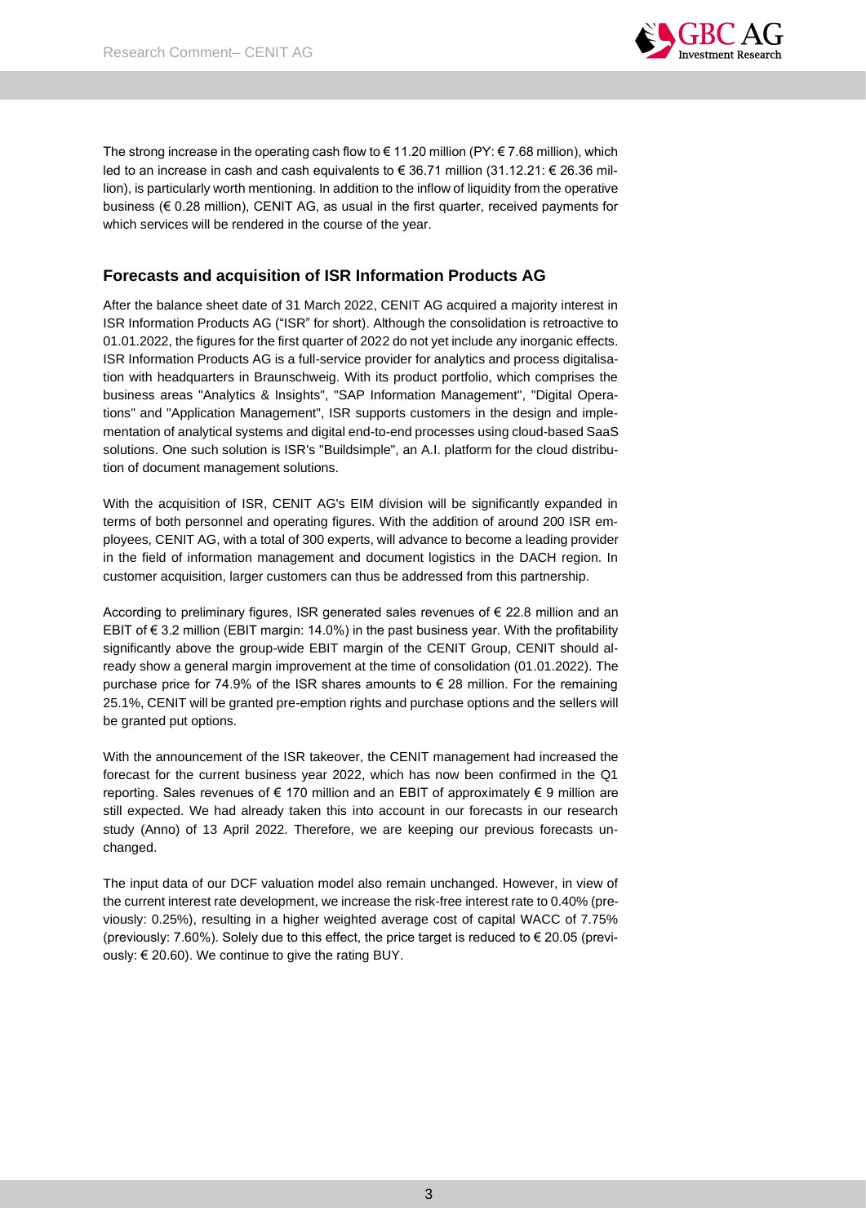

The strong increase in the operating cash flow to  $\epsilon$  11.20 million (PY:  $\epsilon$  7.68 million), which led to an increase in cash and cash equivalents to € 36.71 million (31.12.21: € 26.36 million), is particularly worth mentioning. In addition to the inflow of liquidity from the operative business (€ 0.28 million), CENIT AG, as usual in the first quarter, received payments for which services will be rendered in the course of the year.

# **Forecasts and acquisition of ISR Information Products AG**

After the balance sheet date of 31 March 2022, CENIT AG acquired a majority interest in ISR Information Products AG ("ISR" for short). Although the consolidation is retroactive to 01.01.2022, the figures for the first quarter of 2022 do not yet include any inorganic effects. ISR Information Products AG is a full-service provider for analytics and process digitalisation with headquarters in Braunschweig. With its product portfolio, which comprises the business areas "Analytics & Insights", "SAP Information Management", "Digital Operations" and "Application Management", ISR supports customers in the design and implementation of analytical systems and digital end-to-end processes using cloud-based SaaS solutions. One such solution is ISR's "Buildsimple", an A.I. platform for the cloud distribution of document management solutions.

With the acquisition of ISR, CENIT AG's EIM division will be significantly expanded in terms of both personnel and operating figures. With the addition of around 200 ISR employees, CENIT AG, with a total of 300 experts, will advance to become a leading provider in the field of information management and document logistics in the DACH region. In customer acquisition, larger customers can thus be addressed from this partnership.

According to preliminary figures, ISR generated sales revenues of € 22.8 million and an EBIT of  $\epsilon$  3.2 million (EBIT margin: 14.0%) in the past business year. With the profitability significantly above the group-wide EBIT margin of the CENIT Group, CENIT should already show a general margin improvement at the time of consolidation (01.01.2022). The purchase price for 74.9% of the ISR shares amounts to  $\epsilon$  28 million. For the remaining 25.1%, CENIT will be granted pre-emption rights and purchase options and the sellers will be granted put options.

With the announcement of the ISR takeover, the CENIT management had increased the forecast for the current business year 2022, which has now been confirmed in the Q1 reporting. Sales revenues of  $\epsilon$  170 million and an EBIT of approximately  $\epsilon$  9 million are still expected. We had already taken this into account in our forecasts in our research study (Anno) of 13 April 2022. Therefore, we are keeping our previous forecasts unchanged.

The input data of our DCF valuation model also remain unchanged. However, in view of the current interest rate development, we increase the risk-free interest rate to 0.40% (previously: 0.25%), resulting in a higher weighted average cost of capital WACC of 7.75% (previously: 7.60%). Solely due to this effect, the price target is reduced to  $\epsilon$  20.05 (previously: € 20.60). We continue to give the rating BUY.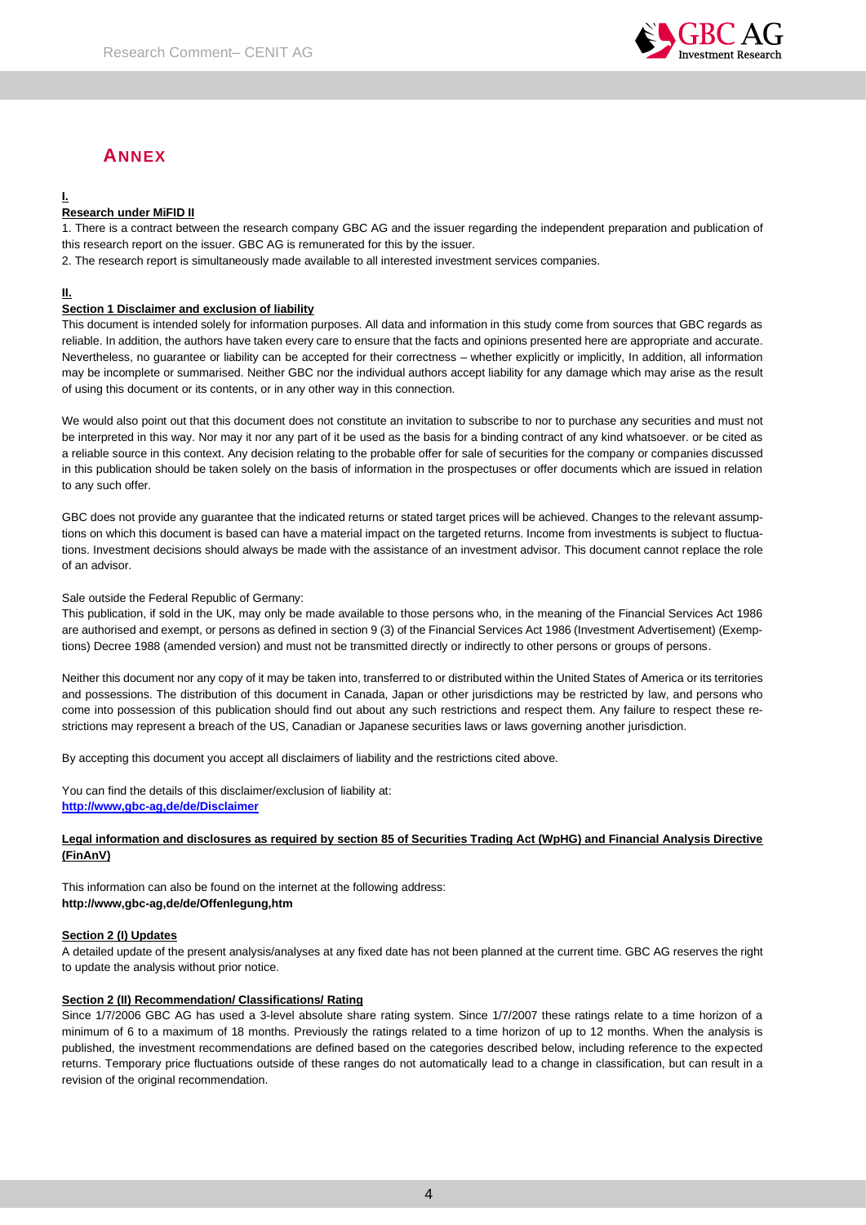

# **ANNEX**

# **I.**

# **Research under MiFID II**

1. There is a contract between the research company GBC AG and the issuer regarding the independent preparation and publication of this research report on the issuer. GBC AG is remunerated for this by the issuer.

2. The research report is simultaneously made available to all interested investment services companies.

## **II.**

## **Section 1 Disclaimer and exclusion of liability**

This document is intended solely for information purposes. All data and information in this study come from sources that GBC regards as reliable. In addition, the authors have taken every care to ensure that the facts and opinions presented here are appropriate and accurate. Nevertheless, no guarantee or liability can be accepted for their correctness – whether explicitly or implicitly, In addition, all information may be incomplete or summarised. Neither GBC nor the individual authors accept liability for any damage which may arise as the result of using this document or its contents, or in any other way in this connection.

We would also point out that this document does not constitute an invitation to subscribe to nor to purchase any securities and must not be interpreted in this way. Nor may it nor any part of it be used as the basis for a binding contract of any kind whatsoever. or be cited as a reliable source in this context. Any decision relating to the probable offer for sale of securities for the company or companies discussed in this publication should be taken solely on the basis of information in the prospectuses or offer documents which are issued in relation to any such offer.

GBC does not provide any guarantee that the indicated returns or stated target prices will be achieved. Changes to the relevant assumptions on which this document is based can have a material impact on the targeted returns. Income from investments is subject to fluctuations. Investment decisions should always be made with the assistance of an investment advisor. This document cannot replace the role of an advisor.

## Sale outside the Federal Republic of Germany:

This publication, if sold in the UK, may only be made available to those persons who, in the meaning of the Financial Services Act 1986 are authorised and exempt, or persons as defined in section 9 (3) of the Financial Services Act 1986 (Investment Advertisement) (Exemptions) Decree 1988 (amended version) and must not be transmitted directly or indirectly to other persons or groups of persons.

Neither this document nor any copy of it may be taken into, transferred to or distributed within the United States of America or its territories and possessions. The distribution of this document in Canada, Japan or other jurisdictions may be restricted by law, and persons who come into possession of this publication should find out about any such restrictions and respect them. Any failure to respect these restrictions may represent a breach of the US, Canadian or Japanese securities laws or laws governing another jurisdiction.

By accepting this document you accept all disclaimers of liability and the restrictions cited above.

You can find the details of this disclaimer/exclusion of liability at: **[http://www,gbc-ag,de/de/Disclaimer](http://www.gbc-ag.de/de/Disclaimer.htm)**

## **Legal information and disclosures as required by section 85 of Securities Trading Act (WpHG) and Financial Analysis Directive (FinAnV)**

This information can also be found on the internet at the following address: **http://www,gbc-ag,de/de/Offenlegung,htm**

## **Section 2 (I) Updates**

A detailed update of the present analysis/analyses at any fixed date has not been planned at the current time. GBC AG reserves the right to update the analysis without prior notice.

## **Section 2 (II) Recommendation/ Classifications/ Rating**

Since 1/7/2006 GBC AG has used a 3-level absolute share rating system. Since 1/7/2007 these ratings relate to a time horizon of a minimum of 6 to a maximum of 18 months. Previously the ratings related to a time horizon of up to 12 months. When the analysis is published, the investment recommendations are defined based on the categories described below, including reference to the expected returns. Temporary price fluctuations outside of these ranges do not automatically lead to a change in classification, but can result in a revision of the original recommendation.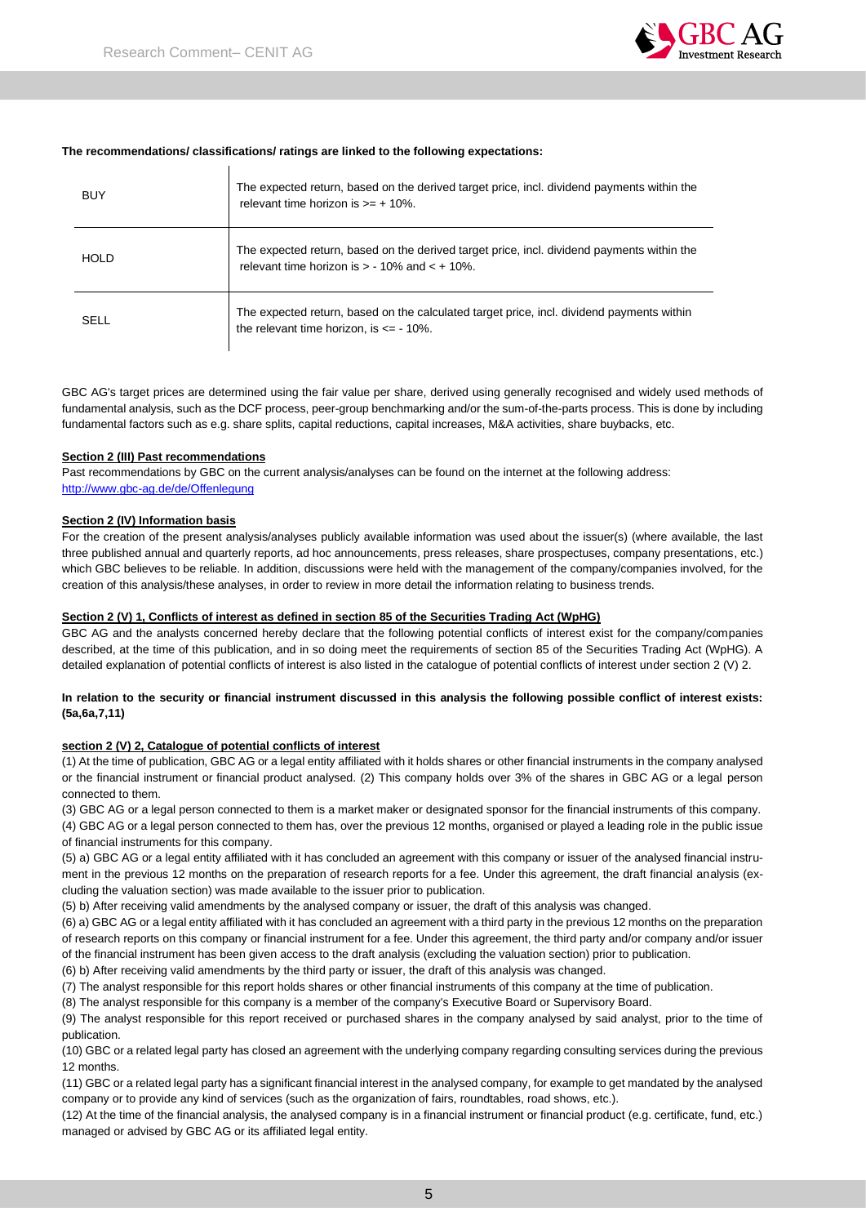

#### **The recommendations/ classifications/ ratings are linked to the following expectations:**

| <b>BUY</b>  | The expected return, based on the derived target price, incl. dividend payments within the<br>relevant time horizon is $\geq 10\%$ .             |
|-------------|--------------------------------------------------------------------------------------------------------------------------------------------------|
| <b>HOLD</b> | The expected return, based on the derived target price, incl. dividend payments within the<br>relevant time horizon is $> -10\%$ and $< +10\%$ . |
| SELL        | The expected return, based on the calculated target price, incl. dividend payments within<br>the relevant time horizon, is $\epsilon$ = -10%.    |

GBC AG's target prices are determined using the fair value per share, derived using generally recognised and widely used methods of fundamental analysis, such as the DCF process, peer-group benchmarking and/or the sum-of-the-parts process. This is done by including fundamental factors such as e.g. share splits, capital reductions, capital increases, M&A activities, share buybacks, etc.

#### **Section 2 (III) Past recommendations**

Past recommendations by GBC on the current analysis/analyses can be found on the internet at the following address: [http://www.gbc-ag.de/de/Offenlegung](http://www.gbc-ag.de/de/Offenlegung.htm)

#### **Section 2 (IV) Information basis**

For the creation of the present analysis/analyses publicly available information was used about the issuer(s) (where available, the last three published annual and quarterly reports, ad hoc announcements, press releases, share prospectuses, company presentations, etc.) which GBC believes to be reliable. In addition, discussions were held with the management of the company/companies involved, for the creation of this analysis/these analyses, in order to review in more detail the information relating to business trends.

#### **Section 2 (V) 1, Conflicts of interest as defined in section 85 of the Securities Trading Act (WpHG)**

GBC AG and the analysts concerned hereby declare that the following potential conflicts of interest exist for the company/companies described, at the time of this publication, and in so doing meet the requirements of section 85 of the Securities Trading Act (WpHG). A detailed explanation of potential conflicts of interest is also listed in the catalogue of potential conflicts of interest under section 2 (V) 2.

## **In relation to the security or financial instrument discussed in this analysis the following possible conflict of interest exists: (5a,6a,7,11)**

#### **section 2 (V) 2, Catalogue of potential conflicts of interest**

(1) At the time of publication, GBC AG or a legal entity affiliated with it holds shares or other financial instruments in the company analysed or the financial instrument or financial product analysed. (2) This company holds over 3% of the shares in GBC AG or a legal person connected to them.

(3) GBC AG or a legal person connected to them is a market maker or designated sponsor for the financial instruments of this company. (4) GBC AG or a legal person connected to them has, over the previous 12 months, organised or played a leading role in the public issue of financial instruments for this company.

(5) a) GBC AG or a legal entity affiliated with it has concluded an agreement with this company or issuer of the analysed financial instrument in the previous 12 months on the preparation of research reports for a fee. Under this agreement, the draft financial analysis (excluding the valuation section) was made available to the issuer prior to publication.

(5) b) After receiving valid amendments by the analysed company or issuer, the draft of this analysis was changed.

(6) a) GBC AG or a legal entity affiliated with it has concluded an agreement with a third party in the previous 12 months on the preparation of research reports on this company or financial instrument for a fee. Under this agreement, the third party and/or company and/or issuer of the financial instrument has been given access to the draft analysis (excluding the valuation section) prior to publication.

(6) b) After receiving valid amendments by the third party or issuer, the draft of this analysis was changed.

(7) The analyst responsible for this report holds shares or other financial instruments of this company at the time of publication.

(8) The analyst responsible for this company is a member of the company's Executive Board or Supervisory Board.

(9) The analyst responsible for this report received or purchased shares in the company analysed by said analyst, prior to the time of publication.

(10) GBC or a related legal party has closed an agreement with the underlying company regarding consulting services during the previous 12 months.

(11) GBC or a related legal party has a significant financial interest in the analysed company, for example to get mandated by the analysed company or to provide any kind of services (such as the organization of fairs, roundtables, road shows, etc.).

(12) At the time of the financial analysis, the analysed company is in a financial instrument or financial product (e.g. certificate, fund, etc.) managed or advised by GBC AG or its affiliated legal entity.